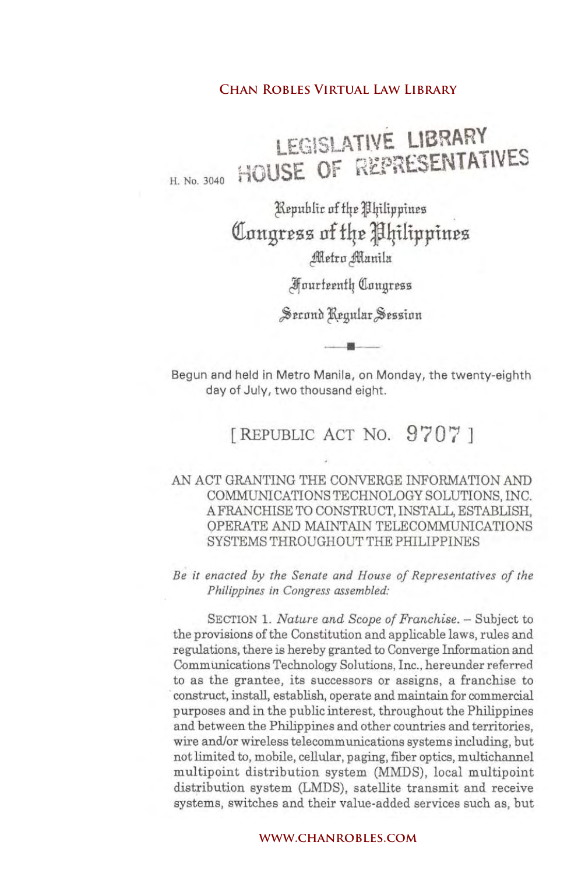H. No. 3040 LEGIOLATIYE LIBRARY **HOUSE OF RESIDENTIAL** 

> Kepuhlic of the Philippines **QInngr£zz nf £4£ J4ilip}lin£z** Metro Manila

> > JIfoude~nf~~onBress

Second Regular Session •

Begun and held in Metro Manila, on Monday, the twenty-eighth day of July, two thousand eight.

# [REPUBLIC ACT No. 9'707]

# AN ACT GRANTING THE CONVERGE INFORMATION AND COMMUNICATIONS TECHNOLOGY SOLUTIONS, INC. A FRANCHISE TO CONSTRUCT, INSTALL, ESTABLISH, OPERATE AND MAINTAIN TELECOMMUNICATIONS SYSTEMS THROUGHOUT THE PHILIPPINES

*Be it enacted by the Senate and House of Representatives of the Philippines in Congress assembled:*

SECTION 1. *Nature and Scope of Franchise*. - Subject to the provisions of the Constitution and applicable laws, rules and regulations, there is hereby granted to Converge Information and CommUnications Technology Solutions, Inc., hereunder referred to as the grantee, its successors or assigns, a franchise to construct, install, establish, operate and maintain for commercial purposes and in the public interest, throughout the Philippines and between the Philippines and other countries and territories, wire and/or wireless telecommunications systems including, but not limited to, mobile, cellular, paging, fiber optics, multichannel multipoint distribution system (MMDS), local multipoint distribution system (LMDS), satellite transmit and receive systems, switches and their value-added services such as, but **CHAN ROBLES VIRTUAL LAW LIBRARY**<br> **CHAN ROBLES OF REPRESENT**<br> **CHANGE OF REPRESENT**<br> **CHANGE OF REPRESENT**<br> **CHANGE OF REPRESENT**<br> **CHANGE OF REPRESENT**<br> *CHANGE CHANRO SUMPLE (Sumila Fourierally Congular Session*<br>
and he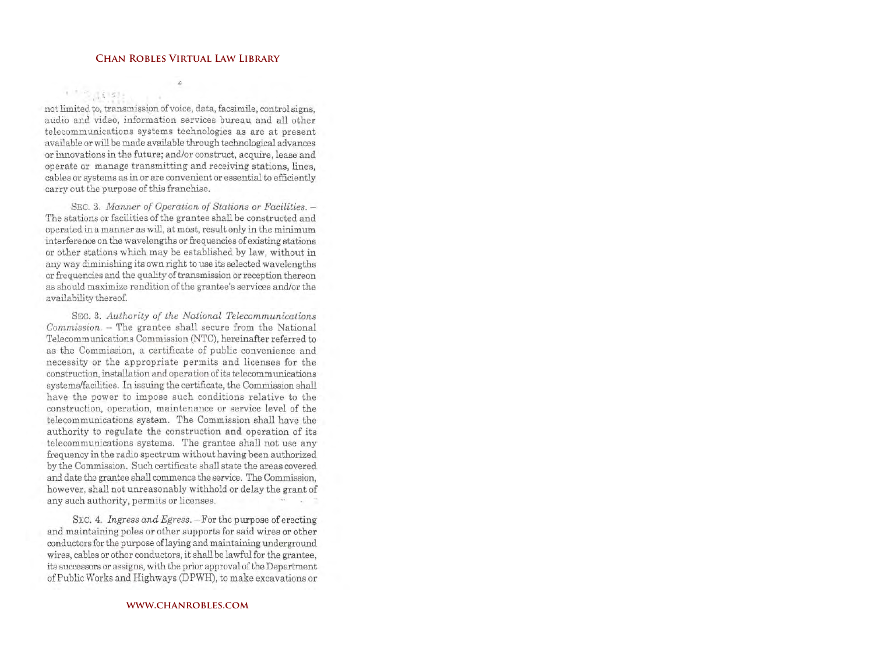L,

**\" ': ' <: .~**

not limited to, transmission of voice, data, facsimile, control signs, audio and video, information services bureau and all other telecommunications systems technologies as are at present available or will be made available through technological advances or innovations in the future; and/or construct, acquire, lease and operate or manage transmitting and receiving stations, lines, cables or systems as in or are convenient or essential to efficiently carry out the purpose of this franchise.

SEC. 2. *Manner of Operation of Stations or Facilities.* -The stations or facilities of the grantee shall be constructed and operated in a manner as will, at most, result only in the minimum interference on the wavelengths or frequencies of existing stations or other stations which may be established by law, without in any way diminishing its own right to use its selected wavelengths or frequencies and the quality of transmission or reception thereon as should maximize rendition of the grantee's services and/or the availability thereof.

SEC. 3. *Authority of the National Telecommunications Commission.* - The grantee shall secure from the National Telecommunications Commission (NTC), hereinafter referred to as the Commission, a certificate of public convenience and necessity or the appropriate permits and licenses for the construction, installation and operation of its telecommunications systems/facilities. In issuing the certificate, the Commission shall have the power to impose such conditions relative to the construction, operation, maintenance or service level of the telecommunications system. The Commission shall have the authority to regulate the construction and operation of its telecommunications systems. The grantee shall not use any frequency in the radio spectrum without having been authorized by the Commission. Such certificate shall state the areas covered and date the grantee shall commence the service. The Commission, however, shall not unreasonably withhold or delay the grant of any such authority, permits or licenses. CHAN ROBLES VIRTUAL LAW LIBRARY<br>
1.6 Communistion of voice, data, facsimile, contrological contrological contrological contrological computed when the matter wide on information services bureau and a lications systems tech

SEC. 4. *Ingress and Egress.* – For the purpose of erecting and maintaining poles or other supports for said wires or other conductors for the purpose oflaying and maintaining underground wires, cables or other conductors, it shall be lawful for the grantee, its successors or assigns, with the prior approval of the Department of Public Works and Highways (DPWH), to make excavations or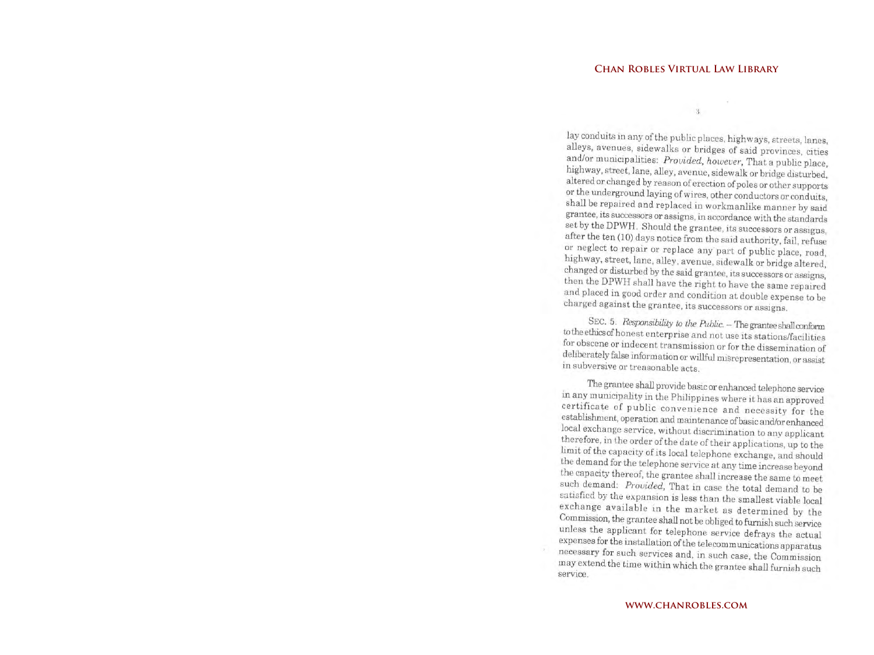OJ oj

lay conduits in any of the public places, highways, streets, lanes, alleys, avenues, sidewalks or bridges of said provinces, cities and/or municipalities: *Provided. however*. That a public place. highway, street, lane, alley, avenue, sidewalk or bridge disturbed. highway, street, lane, alley, avenue, sidewalk or bridge disturbed, alternatively altered of enanged by reason of erection of poles or other support or the underground laying of wires, other conductors or conduits, shall be repaired and replaced in workmanlike manner by said grantee, its successors or assigns, in accordance with the standards  $s_{\text{frac}}(10)$  decreases  $s_{\text{frac}}(10)$  decreases  $s_{\text{frac}}(10)$ after the ten (10) days notice from the said authority, fail, refuse or neglect to repair or replace any' part of public place, road, changed or disturbed by the said grantee, its successors or assigns. then the DPWH shall have the right to have the same repaired  $t_{\text{max}}$  is the shall have the right to have the same repaire and placed in good order and condition at double expense to be charged against the grantee, its successors or assigns.

SEC. 5. *Responsibility to the Public.* - The grantee shall conform tothe ethicsof honest enterprise and not use its stations/facilities for obscene or indecent transmission or for the dissemination of deliberately false information or willful misrepresentation, or assist in subversive or treasonable acts.

The grantee shall provide basic or enhanced telephone service<br>in any municipality in the Philippines where it has an approved in any manufally in the Philippines where it has an approve convenience and necessity for the establishment, operation and maintenance of basic and/or enhanced local exchange service, without discrimination to any applicant  $t$  there or the order of the date of their applications, up to the limit of the capacity of its local telephone exchange, and should the canacity theneef the telephone service at any time increase beyond the capacity thereof, the grantee shall increase the same to meet such demand: *Provided,* That in case the total demand to be satisfied by the expansion is less than the smallest viable local Commission the market as determined by the  $C$ Commission, the grantee shall not be obliged to furnish such service unless the applicant for telephone service defrays the actual expenses for the installation of the telecommunications apparatu necessary for such services and, in such case, the Commission may extend the time within which the grantee shall furnish such service. **CHAN ROBLES VIRTUAL LAW LIBRARY**<br>
duits in any of the public places, highways, st,<br>
duits in any of the public places, highways, st,<br>
avanues, sidewalks or bridges of said providers,<br>
municipalities: *Provided*, *houceer*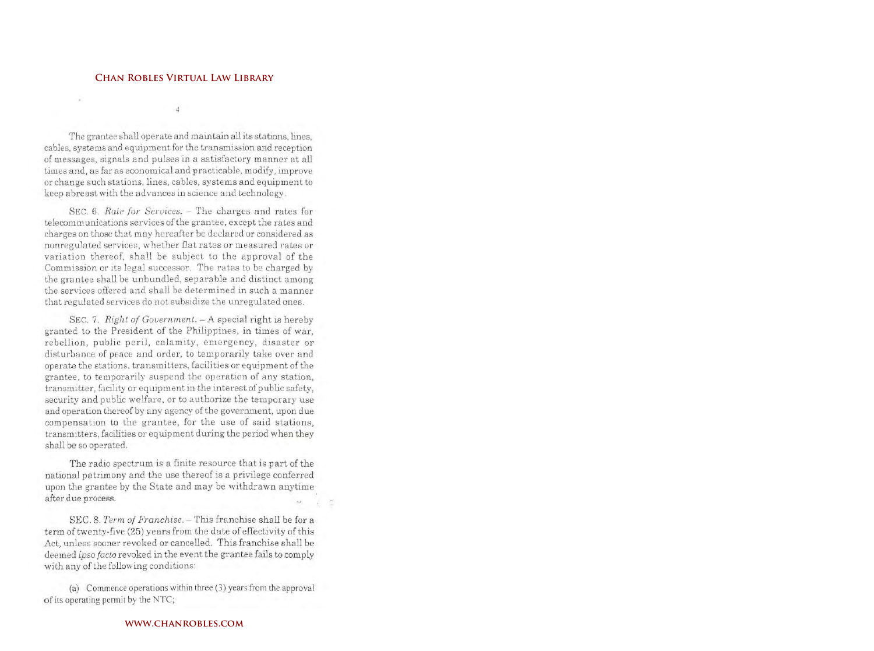The grantee shall operate and maintain all its stations, lines, cables, systems and equipment for the transmission and reception of messages, signals and pulses in a satisfactory manner at all times and, as far as economical and practicable, modify, improve or change such stations, lines, cables, systems and equipment to keep abreast with the ad vances in science and technology.

SEC. 6. *Rate for Services.* – The charges and rates for telecommunications services of the grantee, except the rates and charges on those that may hereafter be declared or considered as nonregulated services, whether flat rates or measured rates or variation thereof, shall be subject to the approval of the Commission or its legal successor. The rates to be charged by the grantee shall be unbundled, separable and distinct among the services offered and shall be determined in such a manner that regulated services do not subsidize the umegulated ones.

SEC. 7. *Right of Government.* - A special right is hereby granted to the President of the Philippines, in times of war, rebellion, public peril, calamity, emergency, disaster or disturbance of peace and order, to temporarily take over and operate the stations. transmitters, facilities or equipment of the grantee, to temporarily suspend the operation of any station, transmitter, facility or equipment in the interest of public safety, security and public welfare, or to authorize the temporary use and operation thereof by any agency of the government, upon due compensation to the grantee, for the use of said stations, transmitters, facilities or equipment during the period when they shall be so operated. **CHAN ROBLES VIRTUAL LAW LIBRARY**<br>
antee shall operate and maintain all its stations and squipment for the transmission and is signals and pulses in a statisfactory mann signals and pulses in a statisfactory mann signals a

The radio spectrum is a finite resource that is part of the national patrimony and the use thereof is a privilege conferred upon the grantee by the State and may be withdrawn anytime after due process.

SEC. 8. *Term of Franchise*. - This franchise shall be for a term of twenty-five (25) years from the date of effectivity of this Act, unless sooner revoked or cancelled. This franchise shall be deemed *ipso facto* revoked in the event the grantee fails to comply with any of the following conditions:

(a) Commence operations within three (3) years from the approval of its operating penuit by the NTC;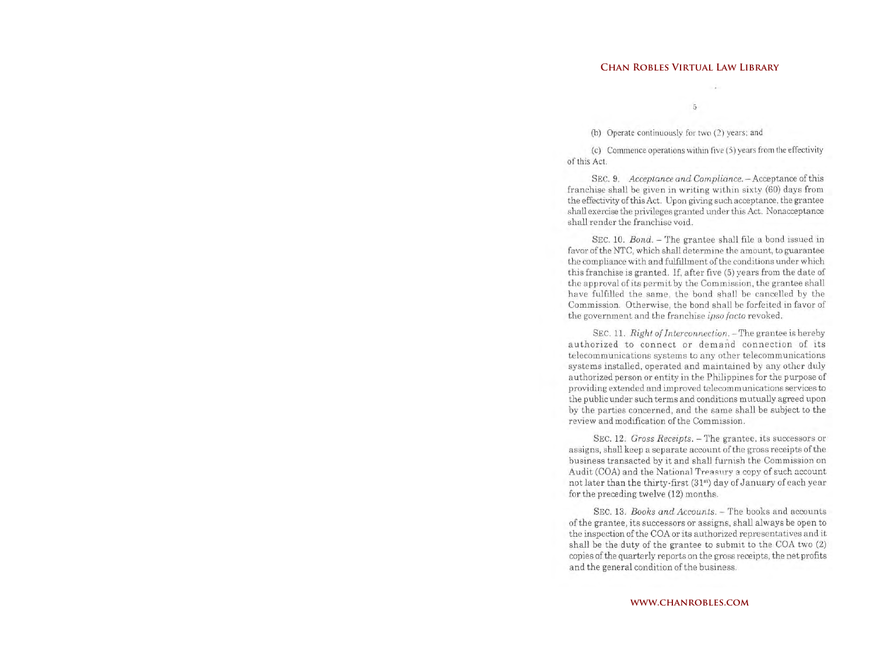(b) Operate continuously for two (2) years; and

(c) Commence operations within five (5) years from the effectivity of this Act.

SEC. 9. *Acceptance and Compliance.* - Acceptance of this franchise shall be given in writing within sixty (60) days from the effectivity of this Act. Upon giving such acceptance, the grantee shall exercise the privileges granted under this Act. Nonacceptance shall render the franchise void.

SEC. 10. *Bond.* – The grantee shall file a bond issued in favor of the NTC, which shall determine the amount, to guarantee the compliance with and fulfillment of the conditions under which this franchise is granted. If, after five (5) years from the date of the approval of its permit by the Commission, the grantee shall have fulfilled the same, the bond shall be cancelled by the Commission. Otherwise, the bond shall be forfeited in favor of the government and the franchise *ipso facio* revoked.

SEC. 11. *Right of Interconnection*. - The grantee is hereby authorized to connect or demand connection of its telecommunications systems to any other telecommunications systems installed, operated and maintained by any other duly authorized person or entity in the Philippines for the purpose of providing extended and improved telecomm unications services to the public under such terms and conditions mutually agreed upon by the parties concerned, and the same shall be subject to the review and modification of the Commission. **CHAN ROBLES VIRTUAL LAW LIBRARY**<br> **Connence continuously** for two (2) years; and<br> **Connence continuously** for two (2) years; and<br> **Connence continuously** for two (2) years from th<br> **C.C.** 9. Acceptance and Compliance. — A

SEC. 12. Gross *Receipts*. - The grantee, its successors or assigns, shall keep a separate account of the gross receipts of the business transacted by it and shall furnish the Commission on Audit (COA) and the National Treasury a copy of such account not later than the thirty-first (31<sup>st</sup>) day of January of each year for the preceding twelve (12) months.

SEC. 13. *Books and Accounts.* – The books and accounts of the grantee, its successors or assigns, shall always be open to the inspection of the COA or its authorized representatives and it shall be the duty of the grantee to submit to the COA two (2) copies of the quarterly reports on the gross receipts, the net profits and the general condition of the business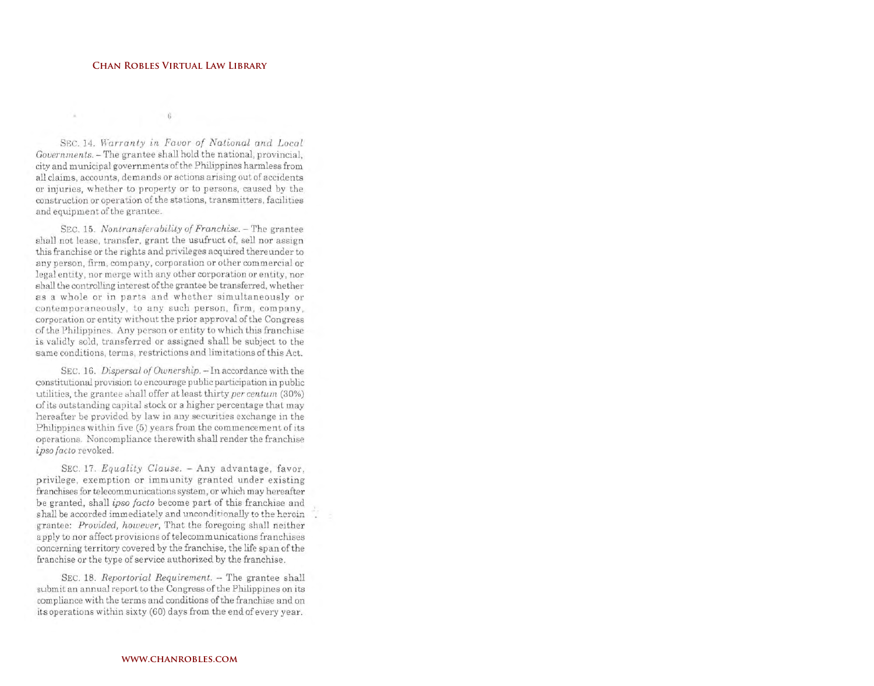## **CHAN ROBLES VIRTUAL LAW LIBRARY**

 $-6$ 

SEC. 14. Warranty in Favor of National and Local Governments. - The grantee shall hold the national, provincial. city and municipal governments of the Philippines harmless from all claims, accounts, demands or actions arising out of accidents or injuries, whether to property or to persons, caused by the construction or operation of the stations, transmitters, facilities and equipment of the grantee.

SEC. 15. Nontransferability of Franchise. - The grantee shall not lease, transfer, grant the usufruct of, sell nor assign this franchise or the rights and privileges acquired thereunder to any person, firm, company, corporation or other commercial or legal entity, nor merge with any other corporation or entity, nor shall the controlling interest of the grantee be transferred, whether as a whole or in parts and whether simultaneously or contemporaneously, to any such person, firm, company, corporation or entity without the prior approval of the Congress of the Philippines. Any person or entity to which this franchise is validly sold, transferred or assigned shall be subject to the same conditions, terms, restrictions and limitations of this Act.

SEC. 16. Dispersal of Ownership. - In accordance with the constitutional provision to encourage public participation in public utilities, the grantee shall offer at least thirty per centum (30%) of its outstanding capital stock or a higher percentage that may hereafter be provided by law in any securities exchange in the Philippines within five (5) years from the commencement of its operations. Noncompliance therewith shall render the franchise ipso facto revoked.

SEC. 17. Equality Clause. - Any advantage, favor. privilege, exemption or immunity granted under existing franchises for telecommunications system, or which may hereafter be granted, shall ipso facto become part of this franchise and shall be accorded immediately and unconditionally to the herein grantee: Provided, however, That the foregoing shall neither apply to nor affect provisions of telecommunications franchises concerning territory covered by the franchise, the life span of the franchise or the type of service authorized by the franchise.

SEC. 18. Reportorial Requirement. - The grantee shall submit an annual report to the Congress of the Philippines on its compliance with the terms and conditions of the franchise and on its operations within sixty (60) days from the end of every year.

### WWW.CHANROBLES.COM